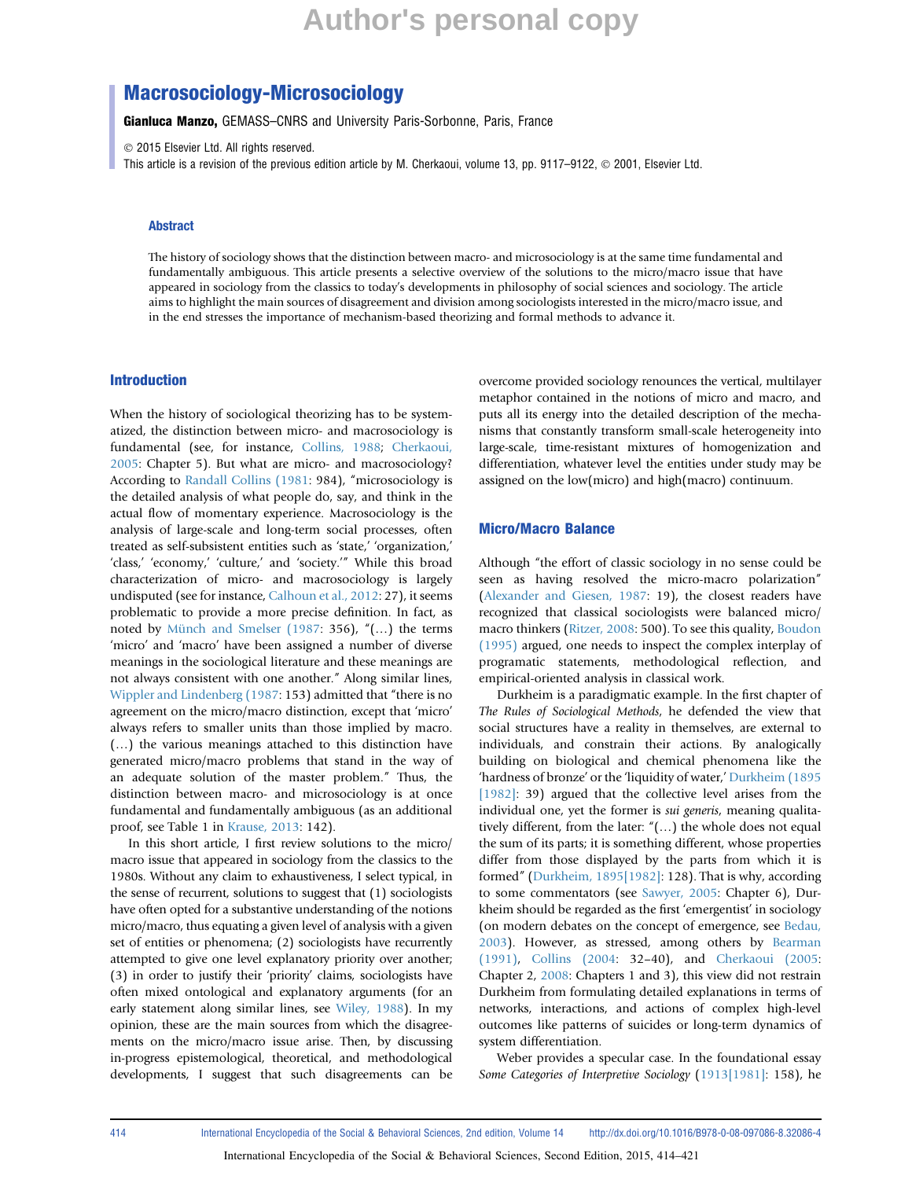# Macrosociology-Microsociology

Gianluca Manzo, GEMASS-CNRS and University Paris-Sorbonne, Paris, France

2015 Elsevier Ltd. All rights reserved.

This article is a revision of the previous edition article by M. Cherkaoui, volume 13, pp. 9117–9122,  $\odot$  2001, Elsevier Ltd.

## Abstract

The history of sociology shows that the distinction between macro- and microsociology is at the same time fundamental and fundamentally ambiguous. This article presents a selective overview of the solutions to the micro/macro issue that have appeared in sociology from the classics to today's developments in philosophy of social sciences and sociology. The article aims to highlight the main sources of disagreement and division among sociologists interested in the micro/macro issue, and in the end stresses the importance of mechanism-based theorizing and formal methods to advance it.

### Introduction

When the history of sociological theorizing has to be systematized, the distinction between micro- and macrosociology is fundamental (see, for instance, Collins, 1988; Cherkaoui, 2005: Chapter 5). But what are micro- and macrosociology? According to Randall Collins (1981: 984), "microsociology is the detailed analysis of what people do, say, and think in the actual flow of momentary experience. Macrosociology is the analysis of large-scale and long-term social processes, often treated as self-subsistent entities such as 'state,' 'organization,' 'class,' 'economy,' 'culture,' and 'society.'" While this broad characterization of micro- and macrosociology is largely undisputed (see for instance, Calhoun et al., 2012: 27), it seems problematic to provide a more precise definition. In fact, as noted by Münch and Smelser (1987: 356),  $\frac{m}{n}$ ...) the terms 'micro' and 'macro' have been assigned a number of diverse meanings in the sociological literature and these meanings are not always consistent with one another." Along similar lines, Wippler and Lindenberg (1987: 153) admitted that "there is no agreement on the micro/macro distinction, except that 'micro' always refers to smaller units than those implied by macro. (...) the various meanings attached to this distinction have generated micro/macro problems that stand in the way of an adequate solution of the master problem." Thus, the distinction between macro- and microsociology is at once fundamental and fundamentally ambiguous (as an additional proof, see Table 1 in Krause, 2013: 142).

In this short article, I first review solutions to the micro/ macro issue that appeared in sociology from the classics to the 1980s. Without any claim to exhaustiveness, I select typical, in the sense of recurrent, solutions to suggest that (1) sociologists have often opted for a substantive understanding of the notions micro/macro, thus equating a given level of analysis with a given set of entities or phenomena; (2) sociologists have recurrently attempted to give one level explanatory priority over another; (3) in order to justify their 'priority' claims, sociologists have often mixed ontological and explanatory arguments (for an early statement along similar lines, see Wiley, 1988). In my opinion, these are the main sources from which the disagreements on the micro/macro issue arise. Then, by discussing in-progress epistemological, theoretical, and methodological developments, I suggest that such disagreements can be

overcome provided sociology renounces the vertical, multilayer metaphor contained in the notions of micro and macro, and puts all its energy into the detailed description of the mechanisms that constantly transform small-scale heterogeneity into large-scale, time-resistant mixtures of homogenization and differentiation, whatever level the entities under study may be assigned on the low(micro) and high(macro) continuum.

# Micro/Macro Balance

Although "the effort of classic sociology in no sense could be seen as having resolved the micro-macro polarization" (Alexander and Giesen, 1987: 19), the closest readers have recognized that classical sociologists were balanced micro/ macro thinkers (Ritzer, 2008: 500). To see this quality, Boudon (1995) argued, one needs to inspect the complex interplay of programatic statements, methodological reflection, and empirical-oriented analysis in classical work.

Durkheim is a paradigmatic example. In the first chapter of The Rules of Sociological Methods, he defended the view that social structures have a reality in themselves, are external to individuals, and constrain their actions. By analogically building on biological and chemical phenomena like the 'hardness of bronze' or the 'liquidity of water,' Durkheim (1895 [1982]: 39) argued that the collective level arises from the individual one, yet the former is *sui generis*, meaning qualitatively different, from the later: "(...) the whole does not equal the sum of its parts; it is something different, whose properties differ from those displayed by the parts from which it is formed" (Durkheim, 1895[1982]: 128). That is why, according to some commentators (see Sawyer, 2005: Chapter 6), Durkheim should be regarded as the first 'emergentist' in sociology (on modern debates on the concept of emergence, see Bedau, 2003). However, as stressed, among others by Bearman (1991), Collins (2004: 32–40), and Cherkaoui (2005: Chapter 2, 2008: Chapters 1 and 3), this view did not restrain Durkheim from formulating detailed explanations in terms of networks, interactions, and actions of complex high-level outcomes like patterns of suicides or long-term dynamics of system differentiation.

Weber provides a specular case. In the foundational essay Some Categories of Interpretive Sociology (1913[1981]: 158), he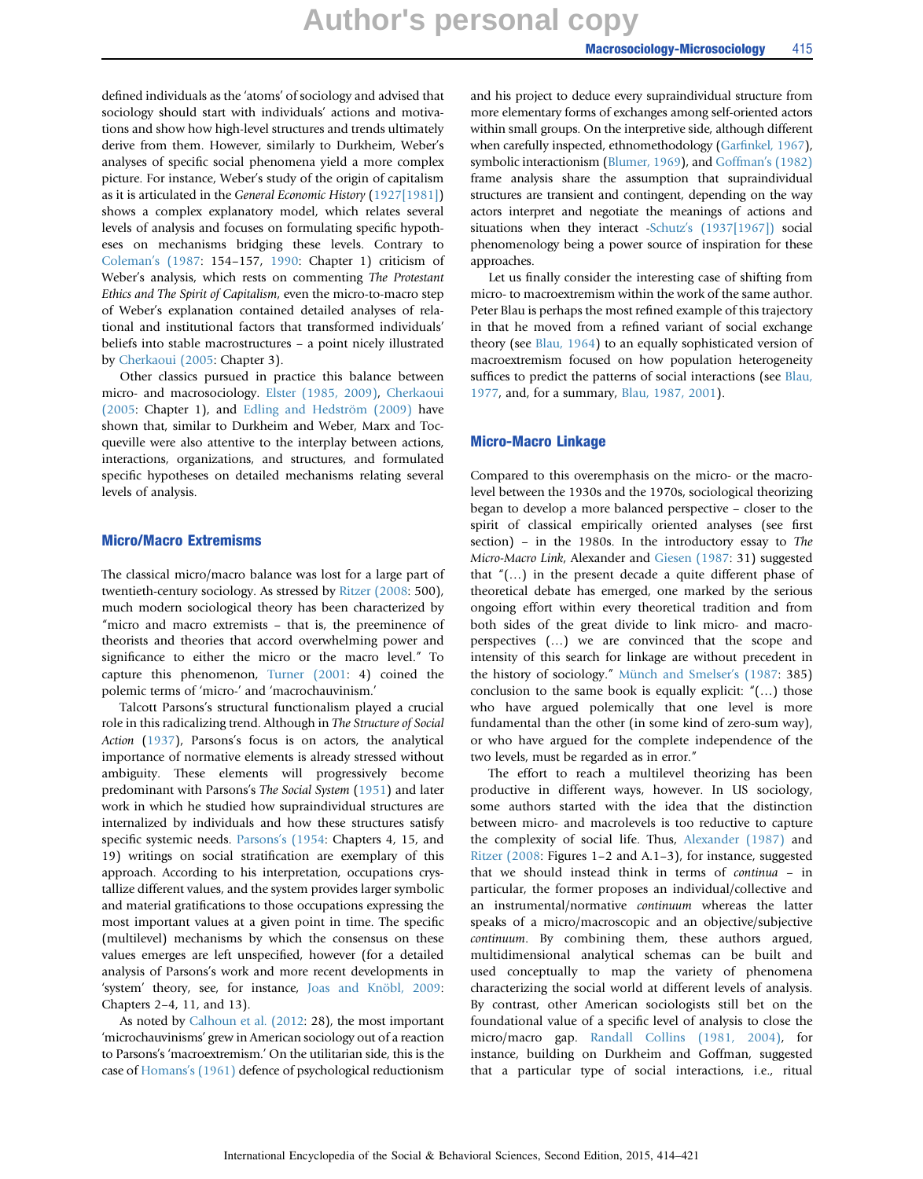defined individuals as the 'atoms' of sociology and advised that sociology should start with individuals' actions and motivations and show how high-level structures and trends ultimately derive from them. However, similarly to Durkheim, Weber's analyses of specific social phenomena yield a more complex picture. For instance, Weber's study of the origin of capitalism as it is articulated in the General Economic History (1927[1981]) shows a complex explanatory model, which relates several levels of analysis and focuses on formulating specific hypotheses on mechanisms bridging these levels. Contrary to Coleman's (1987: 154–157, 1990: Chapter 1) criticism of Weber's analysis, which rests on commenting The Protestant Ethics and The Spirit of Capitalism, even the micro-to-macro step of Weber's explanation contained detailed analyses of relational and institutional factors that transformed individuals' beliefs into stable macrostructures – a point nicely illustrated by Cherkaoui (2005: Chapter 3).

Other classics pursued in practice this balance between micro- and macrosociology. Elster (1985, 2009), Cherkaoui (2005: Chapter 1), and Edling and Hedström (2009) have shown that, similar to Durkheim and Weber, Marx and Tocqueville were also attentive to the interplay between actions, interactions, organizations, and structures, and formulated specific hypotheses on detailed mechanisms relating several levels of analysis.

# Micro/Macro Extremisms

The classical micro/macro balance was lost for a large part of twentieth-century sociology. As stressed by Ritzer (2008: 500), much modern sociological theory has been characterized by "micro and macro extremists – that is, the preeminence of theorists and theories that accord overwhelming power and significance to either the micro or the macro level." To capture this phenomenon, Turner (2001: 4) coined the polemic terms of 'micro-' and 'macrochauvinism.'

Talcott Parsons's structural functionalism played a crucial role in this radicalizing trend. Although in The Structure of Social Action (1937), Parsons's focus is on actors, the analytical importance of normative elements is already stressed without ambiguity. These elements will progressively become predominant with Parsons's The Social System (1951) and later work in which he studied how supraindividual structures are internalized by individuals and how these structures satisfy specific systemic needs. Parsons's (1954: Chapters 4, 15, and 19) writings on social stratification are exemplary of this approach. According to his interpretation, occupations crystallize different values, and the system provides larger symbolic and material gratifications to those occupations expressing the most important values at a given point in time. The specific (multilevel) mechanisms by which the consensus on these values emerges are left unspecified, however (for a detailed analysis of Parsons's work and more recent developments in 'system' theory, see, for instance, Joas and Knöbl, 2009: Chapters 2–4, 11, and 13).

As noted by Calhoun et al. (2012: 28), the most important 'microchauvinisms' grew in American sociology out of a reaction to Parsons's 'macroextremism.' On the utilitarian side, this is the case of Homans's (1961) defence of psychological reductionism

and his project to deduce every supraindividual structure from more elementary forms of exchanges among self-oriented actors within small groups. On the interpretive side, although different when carefully inspected, ethnomethodology (Garfinkel, 1967), symbolic interactionism (Blumer, 1969), and Goffman's (1982) frame analysis share the assumption that supraindividual structures are transient and contingent, depending on the way actors interpret and negotiate the meanings of actions and situations when they interact -Schutz's (1937[1967]) social phenomenology being a power source of inspiration for these approaches.

Let us finally consider the interesting case of shifting from micro- to macroextremism within the work of the same author. Peter Blau is perhaps the most refined example of this trajectory in that he moved from a refined variant of social exchange theory (see Blau, 1964) to an equally sophisticated version of macroextremism focused on how population heterogeneity suffices to predict the patterns of social interactions (see Blau, 1977, and, for a summary, Blau, 1987, 2001).

# Micro-Macro Linkage

Compared to this overemphasis on the micro- or the macrolevel between the 1930s and the 1970s, sociological theorizing began to develop a more balanced perspective – closer to the spirit of classical empirically oriented analyses (see first section) – in the 1980s. In the introductory essay to The Micro-Macro Link, Alexander and Giesen (1987: 31) suggested that  $\ell$ (...) in the present decade a quite different phase of theoretical debate has emerged, one marked by the serious ongoing effort within every theoretical tradition and from both sides of the great divide to link micro- and macroperspectives (...) we are convinced that the scope and intensity of this search for linkage are without precedent in the history of sociology." Münch and Smelser's (1987: 385) conclusion to the same book is equally explicit:  $"$ (...) those who have argued polemically that one level is more fundamental than the other (in some kind of zero-sum way), or who have argued for the complete independence of the two levels, must be regarded as in error."

The effort to reach a multilevel theorizing has been productive in different ways, however. In US sociology, some authors started with the idea that the distinction between micro- and macrolevels is too reductive to capture the complexity of social life. Thus, Alexander (1987) and Ritzer (2008: Figures 1–2 and A.1–3), for instance, suggested that we should instead think in terms of continua – in particular, the former proposes an individual/collective and an instrumental/normative continuum whereas the latter speaks of a micro/macroscopic and an objective/subjective continuum. By combining them, these authors argued, multidimensional analytical schemas can be built and used conceptually to map the variety of phenomena characterizing the social world at different levels of analysis. By contrast, other American sociologists still bet on the foundational value of a specific level of analysis to close the micro/macro gap. Randall Collins (1981, 2004), for instance, building on Durkheim and Goffman, suggested that a particular type of social interactions, i.e., ritual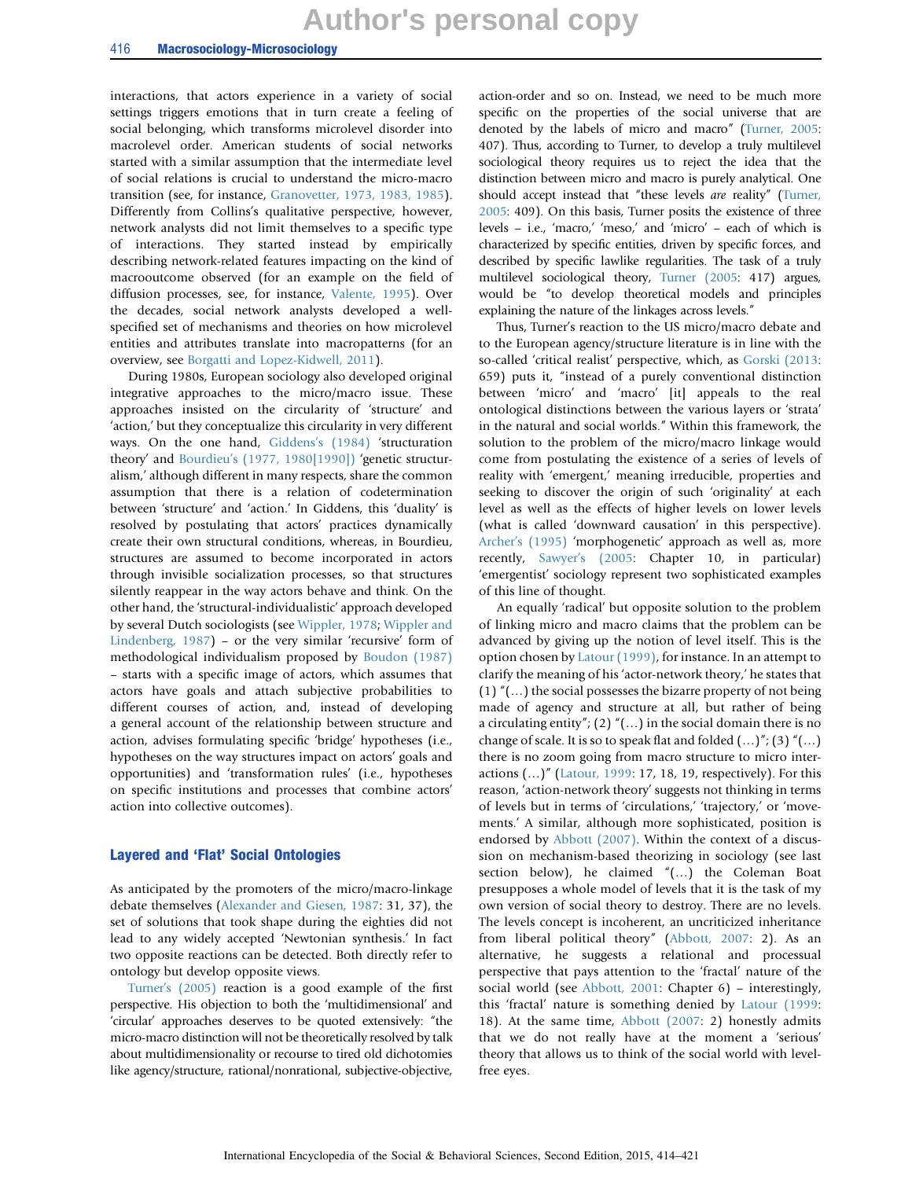interactions, that actors experience in a variety of social settings triggers emotions that in turn create a feeling of social belonging, which transforms microlevel disorder into macrolevel order. American students of social networks started with a similar assumption that the intermediate level of social relations is crucial to understand the micro-macro transition (see, for instance, Granovetter, 1973, 1983, 1985). Differently from Collins's qualitative perspective, however, network analysts did not limit themselves to a specific type of interactions. They started instead by empirically describing network-related features impacting on the kind of macrooutcome observed (for an example on the field of diffusion processes, see, for instance, Valente, 1995). Over the decades, social network analysts developed a wellspecified set of mechanisms and theories on how microlevel entities and attributes translate into macropatterns (for an overview, see Borgatti and Lopez-Kidwell, 2011).

During 1980s, European sociology also developed original integrative approaches to the micro/macro issue. These approaches insisted on the circularity of 'structure' and 'action,' but they conceptualize this circularity in very different ways. On the one hand, Giddens's (1984) 'structuration theory' and Bourdieu's (1977, 1980[1990]) 'genetic structuralism,' although different in many respects, share the common assumption that there is a relation of codetermination between 'structure' and 'action.' In Giddens, this 'duality' is resolved by postulating that actors' practices dynamically create their own structural conditions, whereas, in Bourdieu, structures are assumed to become incorporated in actors through invisible socialization processes, so that structures silently reappear in the way actors behave and think. On the other hand, the 'structural-individualistic' approach developed by several Dutch sociologists (see Wippler, 1978; Wippler and Lindenberg, 1987) – or the very similar 'recursive' form of methodological individualism proposed by Boudon (1987) – starts with a specific image of actors, which assumes that actors have goals and attach subjective probabilities to different courses of action, and, instead of developing a general account of the relationship between structure and action, advises formulating specific 'bridge' hypotheses (i.e., hypotheses on the way structures impact on actors' goals and opportunities) and 'transformation rules' (i.e., hypotheses on specific institutions and processes that combine actors' action into collective outcomes).

#### Layered and 'Flat' Social Ontologies

As anticipated by the promoters of the micro/macro-linkage debate themselves (Alexander and Giesen, 1987: 31, 37), the set of solutions that took shape during the eighties did not lead to any widely accepted 'Newtonian synthesis.' In fact two opposite reactions can be detected. Both directly refer to ontology but develop opposite views.

Turner's (2005) reaction is a good example of the first perspective. His objection to both the 'multidimensional' and 'circular' approaches deserves to be quoted extensively: "the micro-macro distinction will not be theoretically resolved by talk about multidimensionality or recourse to tired old dichotomies like agency/structure, rational/nonrational, subjective-objective,

action-order and so on. Instead, we need to be much more specific on the properties of the social universe that are denoted by the labels of micro and macro" (Turner, 2005: 407). Thus, according to Turner, to develop a truly multilevel sociological theory requires us to reject the idea that the distinction between micro and macro is purely analytical. One should accept instead that "these levels are reality" (Turner, 2005: 409). On this basis, Turner posits the existence of three levels – i.e., 'macro,' 'meso,' and 'micro' – each of which is characterized by specific entities, driven by specific forces, and described by specific lawlike regularities. The task of a truly multilevel sociological theory, Turner (2005: 417) argues, would be "to develop theoretical models and principles explaining the nature of the linkages across levels."

Thus, Turner's reaction to the US micro/macro debate and to the European agency/structure literature is in line with the so-called 'critical realist' perspective, which, as Gorski (2013: 659) puts it, "instead of a purely conventional distinction between 'micro' and 'macro' [it] appeals to the real ontological distinctions between the various layers or 'strata' in the natural and social worlds." Within this framework, the solution to the problem of the micro/macro linkage would come from postulating the existence of a series of levels of reality with 'emergent,' meaning irreducible, properties and seeking to discover the origin of such 'originality' at each level as well as the effects of higher levels on lower levels (what is called 'downward causation' in this perspective). Archer's (1995) 'morphogenetic' approach as well as, more recently, Sawyer's (2005: Chapter 10, in particular) 'emergentist' sociology represent two sophisticated examples of this line of thought.

An equally 'radical' but opposite solution to the problem of linking micro and macro claims that the problem can be advanced by giving up the notion of level itself. This is the option chosen by Latour (1999), for instance. In an attempt to clarify the meaning of his 'actor-network theory,' he states that (1)  $^{\prime\prime}$ (...) the social possesses the bizarre property of not being made of agency and structure at all, but rather of being a circulating entity"; (2) "(...) in the social domain there is no change of scale. It is so to speak flat and folded  $(...)"$ ; (3) " $(...)$ there is no zoom going from macro structure to micro interactions (.)" (Latour, 1999: 17, 18, 19, respectively). For this reason, 'action-network theory' suggests not thinking in terms of levels but in terms of 'circulations,' 'trajectory,' or 'movements.' A similar, although more sophisticated, position is endorsed by Abbott (2007). Within the context of a discussion on mechanism-based theorizing in sociology (see last section below), he claimed "(...) the Coleman Boat presupposes a whole model of levels that it is the task of my own version of social theory to destroy. There are no levels. The levels concept is incoherent, an uncriticized inheritance from liberal political theory" (Abbott, 2007: 2). As an alternative, he suggests a relational and processual perspective that pays attention to the 'fractal' nature of the social world (see Abbott, 2001: Chapter 6) – interestingly, this 'fractal' nature is something denied by Latour (1999: 18). At the same time, Abbott (2007: 2) honestly admits that we do not really have at the moment a 'serious' theory that allows us to think of the social world with levelfree eyes.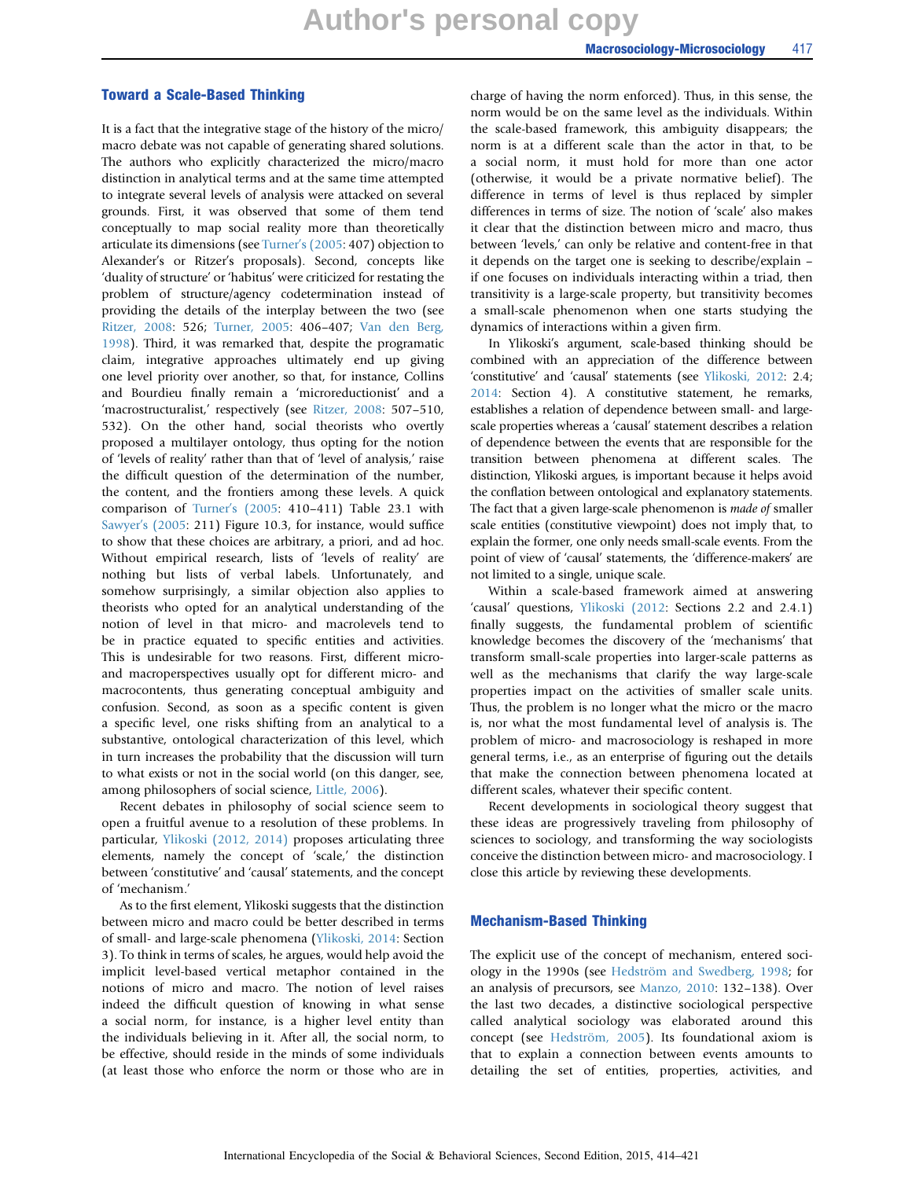# Toward a Scale-Based Thinking

It is a fact that the integrative stage of the history of the micro/ macro debate was not capable of generating shared solutions. The authors who explicitly characterized the micro/macro distinction in analytical terms and at the same time attempted to integrate several levels of analysis were attacked on several grounds. First, it was observed that some of them tend conceptually to map social reality more than theoretically articulate its dimensions (see Turner's (2005: 407) objection to Alexander's or Ritzer's proposals). Second, concepts like 'duality of structure' or 'habitus' were criticized for restating the problem of structure/agency codetermination instead of providing the details of the interplay between the two (see Ritzer, 2008: 526; Turner, 2005: 406–407; Van den Berg, 1998). Third, it was remarked that, despite the programatic claim, integrative approaches ultimately end up giving one level priority over another, so that, for instance, Collins and Bourdieu finally remain a 'microreductionist' and a 'macrostructuralist,' respectively (see Ritzer, 2008: 507–510, 532). On the other hand, social theorists who overtly proposed a multilayer ontology, thus opting for the notion of 'levels of reality' rather than that of 'level of analysis,' raise the difficult question of the determination of the number, the content, and the frontiers among these levels. A quick comparison of Turner's (2005: 410–411) Table 23.1 with Sawyer's (2005: 211) Figure 10.3, for instance, would suffice to show that these choices are arbitrary, a priori, and ad hoc. Without empirical research, lists of 'levels of reality' are nothing but lists of verbal labels. Unfortunately, and somehow surprisingly, a similar objection also applies to theorists who opted for an analytical understanding of the notion of level in that micro- and macrolevels tend to be in practice equated to specific entities and activities. This is undesirable for two reasons. First, different microand macroperspectives usually opt for different micro- and macrocontents, thus generating conceptual ambiguity and confusion. Second, as soon as a specific content is given a specific level, one risks shifting from an analytical to a substantive, ontological characterization of this level, which in turn increases the probability that the discussion will turn to what exists or not in the social world (on this danger, see, among philosophers of social science, Little, 2006).

Recent debates in philosophy of social science seem to open a fruitful avenue to a resolution of these problems. In particular, Ylikoski (2012, 2014) proposes articulating three elements, namely the concept of 'scale,' the distinction between 'constitutive' and 'causal' statements, and the concept of 'mechanism.'

As to the first element, Ylikoski suggests that the distinction between micro and macro could be better described in terms of small- and large-scale phenomena (Ylikoski, 2014: Section 3). To think in terms of scales, he argues, would help avoid the implicit level-based vertical metaphor contained in the notions of micro and macro. The notion of level raises indeed the difficult question of knowing in what sense a social norm, for instance, is a higher level entity than the individuals believing in it. After all, the social norm, to be effective, should reside in the minds of some individuals (at least those who enforce the norm or those who are in charge of having the norm enforced). Thus, in this sense, the norm would be on the same level as the individuals. Within the scale-based framework, this ambiguity disappears; the norm is at a different scale than the actor in that, to be a social norm, it must hold for more than one actor (otherwise, it would be a private normative belief). The difference in terms of level is thus replaced by simpler differences in terms of size. The notion of 'scale' also makes it clear that the distinction between micro and macro, thus between 'levels,' can only be relative and content-free in that it depends on the target one is seeking to describe/explain – if one focuses on individuals interacting within a triad, then transitivity is a large-scale property, but transitivity becomes a small-scale phenomenon when one starts studying the dynamics of interactions within a given firm.

In Ylikoski's argument, scale-based thinking should be combined with an appreciation of the difference between 'constitutive' and 'causal' statements (see Ylikoski, 2012: 2.4; 2014: Section 4). A constitutive statement, he remarks, establishes a relation of dependence between small- and largescale properties whereas a 'causal' statement describes a relation of dependence between the events that are responsible for the transition between phenomena at different scales. The distinction, Ylikoski argues, is important because it helps avoid the conflation between ontological and explanatory statements. The fact that a given large-scale phenomenon is made of smaller scale entities (constitutive viewpoint) does not imply that, to explain the former, one only needs small-scale events. From the point of view of 'causal' statements, the 'difference-makers' are not limited to a single, unique scale.

Within a scale-based framework aimed at answering 'causal' questions, Ylikoski (2012: Sections 2.2 and 2.4.1) finally suggests, the fundamental problem of scientific knowledge becomes the discovery of the 'mechanisms' that transform small-scale properties into larger-scale patterns as well as the mechanisms that clarify the way large-scale properties impact on the activities of smaller scale units. Thus, the problem is no longer what the micro or the macro is, nor what the most fundamental level of analysis is. The problem of micro- and macrosociology is reshaped in more general terms, i.e., as an enterprise of figuring out the details that make the connection between phenomena located at different scales, whatever their specific content.

Recent developments in sociological theory suggest that these ideas are progressively traveling from philosophy of sciences to sociology, and transforming the way sociologists conceive the distinction between micro- and macrosociology. I close this article by reviewing these developments.

#### Mechanism-Based Thinking

The explicit use of the concept of mechanism, entered sociology in the 1990s (see Hedström and Swedberg, 1998; for an analysis of precursors, see Manzo, 2010: 132–138). Over the last two decades, a distinctive sociological perspective called analytical sociology was elaborated around this concept (see Hedström, 2005). Its foundational axiom is that to explain a connection between events amounts to detailing the set of entities, properties, activities, and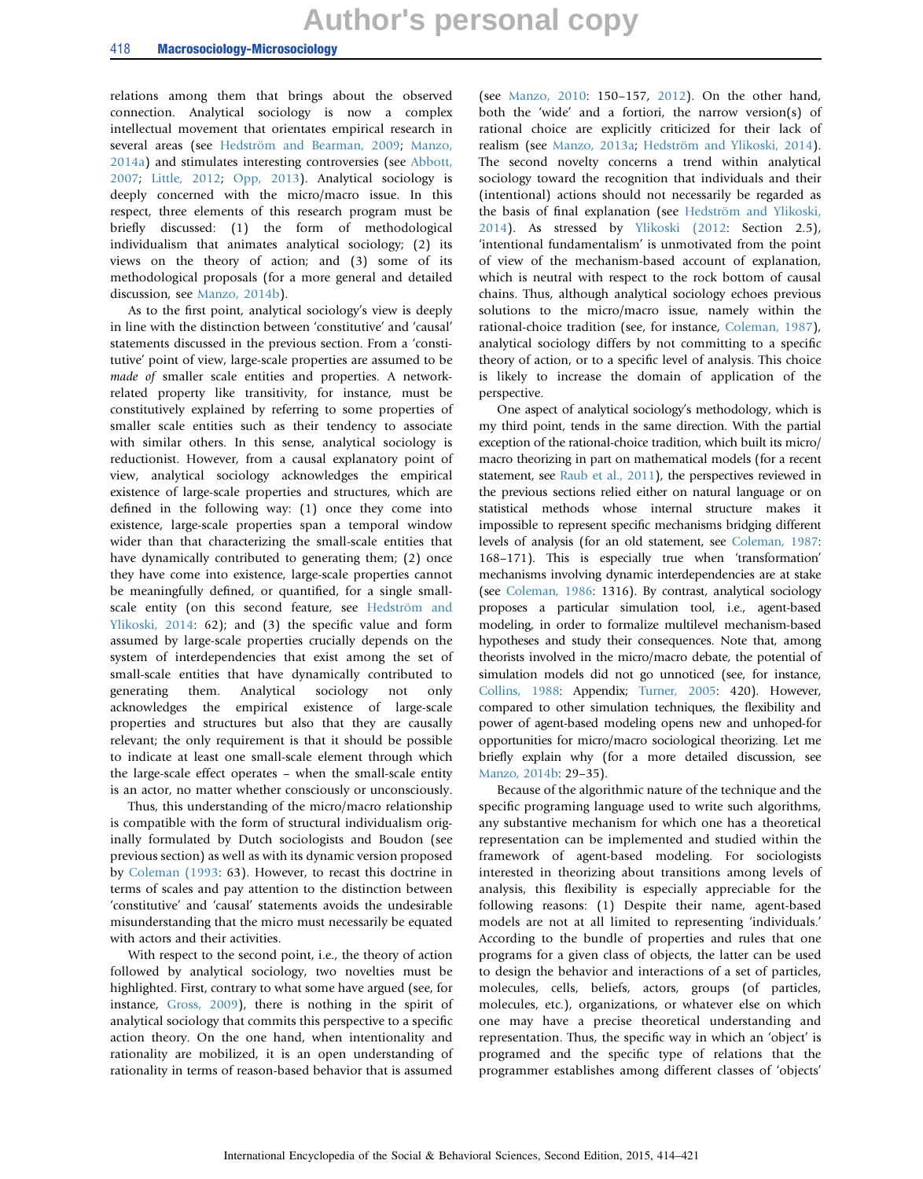relations among them that brings about the observed connection. Analytical sociology is now a complex intellectual movement that orientates empirical research in several areas (see Hedström and Bearman, 2009; Manzo, 2014a) and stimulates interesting controversies (see Abbott, 2007; Little, 2012; Opp, 2013). Analytical sociology is deeply concerned with the micro/macro issue. In this respect, three elements of this research program must be briefly discussed: (1) the form of methodological individualism that animates analytical sociology; (2) its views on the theory of action; and (3) some of its methodological proposals (for a more general and detailed discussion, see Manzo, 2014b).

As to the first point, analytical sociology's view is deeply in line with the distinction between 'constitutive' and 'causal' statements discussed in the previous section. From a 'constitutive' point of view, large-scale properties are assumed to be made of smaller scale entities and properties. A networkrelated property like transitivity, for instance, must be constitutively explained by referring to some properties of smaller scale entities such as their tendency to associate with similar others. In this sense, analytical sociology is reductionist. However, from a causal explanatory point of view, analytical sociology acknowledges the empirical existence of large-scale properties and structures, which are defined in the following way: (1) once they come into existence, large-scale properties span a temporal window wider than that characterizing the small-scale entities that have dynamically contributed to generating them; (2) once they have come into existence, large-scale properties cannot be meaningfully defined, or quantified, for a single smallscale entity (on this second feature, see Hedström and Ylikoski, 2014: 62); and (3) the specific value and form assumed by large-scale properties crucially depends on the system of interdependencies that exist among the set of small-scale entities that have dynamically contributed to generating them. Analytical sociology not only acknowledges the empirical existence of large-scale properties and structures but also that they are causally relevant; the only requirement is that it should be possible to indicate at least one small-scale element through which the large-scale effect operates – when the small-scale entity is an actor, no matter whether consciously or unconsciously.

Thus, this understanding of the micro/macro relationship is compatible with the form of structural individualism originally formulated by Dutch sociologists and Boudon (see previous section) as well as with its dynamic version proposed by Coleman (1993: 63). However, to recast this doctrine in terms of scales and pay attention to the distinction between 'constitutive' and 'causal' statements avoids the undesirable misunderstanding that the micro must necessarily be equated with actors and their activities.

With respect to the second point, i.e., the theory of action followed by analytical sociology, two novelties must be highlighted. First, contrary to what some have argued (see, for instance, Gross, 2009), there is nothing in the spirit of analytical sociology that commits this perspective to a specific action theory. On the one hand, when intentionality and rationality are mobilized, it is an open understanding of rationality in terms of reason-based behavior that is assumed

(see Manzo, 2010: 150–157, 2012). On the other hand, both the 'wide' and a fortiori, the narrow version(s) of rational choice are explicitly criticized for their lack of realism (see Manzo, 2013a; Hedström and Ylikoski, 2014). The second novelty concerns a trend within analytical sociology toward the recognition that individuals and their (intentional) actions should not necessarily be regarded as the basis of final explanation (see Hedström and Ylikoski, 2014). As stressed by Ylikoski (2012: Section 2.5), 'intentional fundamentalism' is unmotivated from the point of view of the mechanism-based account of explanation, which is neutral with respect to the rock bottom of causal chains. Thus, although analytical sociology echoes previous solutions to the micro/macro issue, namely within the rational-choice tradition (see, for instance, Coleman, 1987), analytical sociology differs by not committing to a specific theory of action, or to a specific level of analysis. This choice is likely to increase the domain of application of the perspective.

One aspect of analytical sociology's methodology, which is my third point, tends in the same direction. With the partial exception of the rational-choice tradition, which built its micro/ macro theorizing in part on mathematical models (for a recent statement, see Raub et al., 2011), the perspectives reviewed in the previous sections relied either on natural language or on statistical methods whose internal structure makes it impossible to represent specific mechanisms bridging different levels of analysis (for an old statement, see Coleman, 1987: 168–171). This is especially true when 'transformation' mechanisms involving dynamic interdependencies are at stake (see Coleman, 1986: 1316). By contrast, analytical sociology proposes a particular simulation tool, i.e., agent-based modeling, in order to formalize multilevel mechanism-based hypotheses and study their consequences. Note that, among theorists involved in the micro/macro debate, the potential of simulation models did not go unnoticed (see, for instance, Collins, 1988: Appendix; Turner, 2005: 420). However, compared to other simulation techniques, the flexibility and power of agent-based modeling opens new and unhoped-for opportunities for micro/macro sociological theorizing. Let me briefly explain why (for a more detailed discussion, see Manzo, 2014b: 29–35).

Because of the algorithmic nature of the technique and the specific programing language used to write such algorithms, any substantive mechanism for which one has a theoretical representation can be implemented and studied within the framework of agent-based modeling. For sociologists interested in theorizing about transitions among levels of analysis, this flexibility is especially appreciable for the following reasons: (1) Despite their name, agent-based models are not at all limited to representing 'individuals.' According to the bundle of properties and rules that one programs for a given class of objects, the latter can be used to design the behavior and interactions of a set of particles, molecules, cells, beliefs, actors, groups (of particles, molecules, etc.), organizations, or whatever else on which one may have a precise theoretical understanding and representation. Thus, the specific way in which an 'object' is programed and the specific type of relations that the programmer establishes among different classes of 'objects'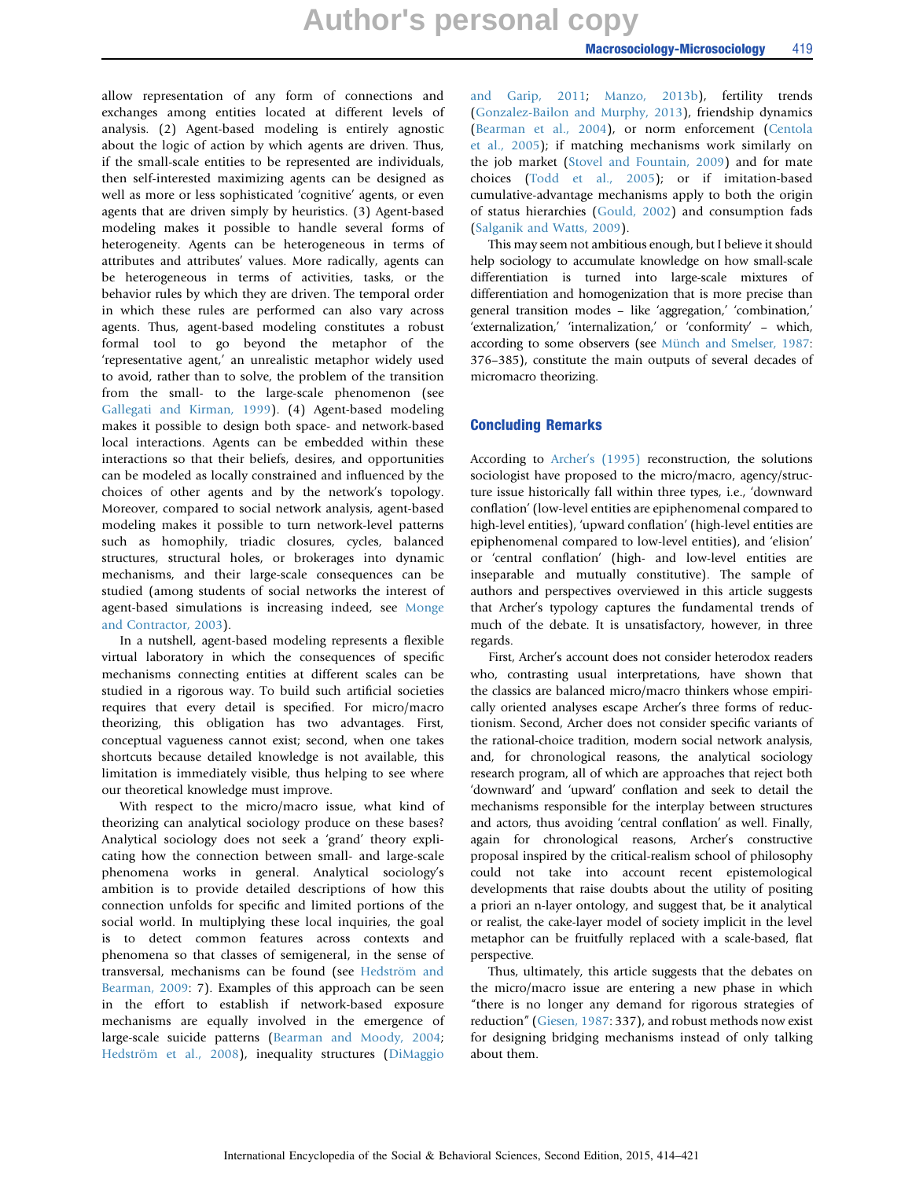allow representation of any form of connections and exchanges among entities located at different levels of analysis. (2) Agent-based modeling is entirely agnostic about the logic of action by which agents are driven. Thus, if the small-scale entities to be represented are individuals, then self-interested maximizing agents can be designed as well as more or less sophisticated 'cognitive' agents, or even agents that are driven simply by heuristics. (3) Agent-based modeling makes it possible to handle several forms of heterogeneity. Agents can be heterogeneous in terms of attributes and attributes' values. More radically, agents can be heterogeneous in terms of activities, tasks, or the behavior rules by which they are driven. The temporal order in which these rules are performed can also vary across agents. Thus, agent-based modeling constitutes a robust formal tool to go beyond the metaphor of the 'representative agent,' an unrealistic metaphor widely used to avoid, rather than to solve, the problem of the transition from the small- to the large-scale phenomenon (see Gallegati and Kirman, 1999). (4) Agent-based modeling makes it possible to design both space- and network-based local interactions. Agents can be embedded within these interactions so that their beliefs, desires, and opportunities can be modeled as locally constrained and influenced by the choices of other agents and by the network's topology. Moreover, compared to social network analysis, agent-based modeling makes it possible to turn network-level patterns such as homophily, triadic closures, cycles, balanced structures, structural holes, or brokerages into dynamic mechanisms, and their large-scale consequences can be studied (among students of social networks the interest of agent-based simulations is increasing indeed, see Monge and Contractor, 2003).

In a nutshell, agent-based modeling represents a flexible virtual laboratory in which the consequences of specific mechanisms connecting entities at different scales can be studied in a rigorous way. To build such artificial societies requires that every detail is specified. For micro/macro theorizing, this obligation has two advantages. First, conceptual vagueness cannot exist; second, when one takes shortcuts because detailed knowledge is not available, this limitation is immediately visible, thus helping to see where our theoretical knowledge must improve.

With respect to the micro/macro issue, what kind of theorizing can analytical sociology produce on these bases? Analytical sociology does not seek a 'grand' theory explicating how the connection between small- and large-scale phenomena works in general. Analytical sociology's ambition is to provide detailed descriptions of how this connection unfolds for specific and limited portions of the social world. In multiplying these local inquiries, the goal is to detect common features across contexts and phenomena so that classes of semigeneral, in the sense of transversal, mechanisms can be found (see Hedström and Bearman, 2009: 7). Examples of this approach can be seen in the effort to establish if network-based exposure mechanisms are equally involved in the emergence of large-scale suicide patterns (Bearman and Moody, 2004; Hedström et al., 2008), inequality structures (DiMaggio

and Garip, 2011; Manzo, 2013b), fertility trends (Gonzalez-Bailon and Murphy, 2013), friendship dynamics (Bearman et al., 2004), or norm enforcement (Centola et al., 2005); if matching mechanisms work similarly on the job market (Stovel and Fountain, 2009) and for mate choices (Todd et al., 2005); or if imitation-based cumulative-advantage mechanisms apply to both the origin of status hierarchies (Gould, 2002) and consumption fads (Salganik and Watts, 2009).

This may seem not ambitious enough, but I believe it should help sociology to accumulate knowledge on how small-scale differentiation is turned into large-scale mixtures of differentiation and homogenization that is more precise than general transition modes – like 'aggregation,' 'combination,' 'externalization,' 'internalization,' or 'conformity' – which, according to some observers (see Münch and Smelser, 1987: 376–385), constitute the main outputs of several decades of micromacro theorizing.

## Concluding Remarks

According to Archer's (1995) reconstruction, the solutions sociologist have proposed to the micro/macro, agency/structure issue historically fall within three types, i.e., 'downward conflation' (low-level entities are epiphenomenal compared to high-level entities), 'upward conflation' (high-level entities are epiphenomenal compared to low-level entities), and 'elision' or 'central conflation' (high- and low-level entities are inseparable and mutually constitutive). The sample of authors and perspectives overviewed in this article suggests that Archer's typology captures the fundamental trends of much of the debate. It is unsatisfactory, however, in three regards.

First, Archer's account does not consider heterodox readers who, contrasting usual interpretations, have shown that the classics are balanced micro/macro thinkers whose empirically oriented analyses escape Archer's three forms of reductionism. Second, Archer does not consider specific variants of the rational-choice tradition, modern social network analysis, and, for chronological reasons, the analytical sociology research program, all of which are approaches that reject both 'downward' and 'upward' conflation and seek to detail the mechanisms responsible for the interplay between structures and actors, thus avoiding 'central conflation' as well. Finally, again for chronological reasons, Archer's constructive proposal inspired by the critical-realism school of philosophy could not take into account recent epistemological developments that raise doubts about the utility of positing a priori an n-layer ontology, and suggest that, be it analytical or realist, the cake-layer model of society implicit in the level metaphor can be fruitfully replaced with a scale-based, flat perspective.

Thus, ultimately, this article suggests that the debates on the micro/macro issue are entering a new phase in which "there is no longer any demand for rigorous strategies of reduction" (Giesen, 1987: 337), and robust methods now exist for designing bridging mechanisms instead of only talking about them.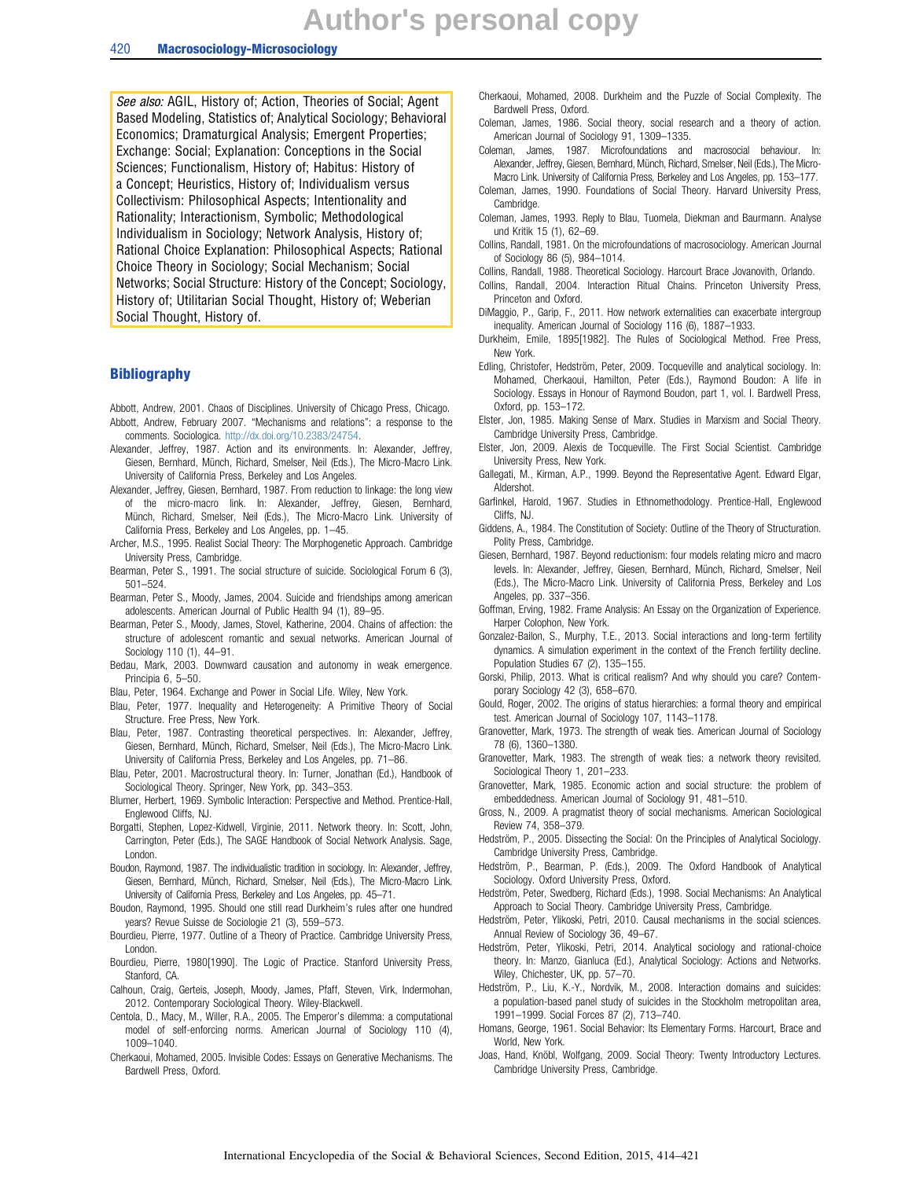See also: AGIL, History of; Action, Theories of Social; Agent Based Modeling, Statistics of; Analytical Sociology; Behavioral Economics; Dramaturgical Analysis; Emergent Properties; Exchange: Social; Explanation: Conceptions in the Social Sciences; Functionalism, History of; Habitus: History of a Concept; Heuristics, History of; Individualism versus Collectivism: Philosophical Aspects; Intentionality and Rationality; Interactionism, Symbolic; Methodological Individualism in Sociology; Network Analysis, History of; Rational Choice Explanation: Philosophical Aspects; Rational Choice Theory in Sociology; Social Mechanism; Social Networks; Social Structure: History of the Concept; Sociology, History of; Utilitarian Social Thought, History of; Weberian Social Thought, History of.

# **Bibliography**

- Abbott, Andrew, 2001. Chaos of Disciplines. University of Chicago Press, Chicago. Abbott, Andrew, February 2007. "Mechanisms and relations": a response to the
- comments. Sociologica. [http://dx.doi.org/10.2383/24754.](http://dx.doi.org/10.2383/24754) Alexander, Jeffrey, 1987. Action and its environments. In: Alexander, Jeffrey,
- Giesen, Bernhard, Münch, Richard, Smelser, Neil (Eds.), The Micro-Macro Link. University of California Press, Berkeley and Los Angeles.
- Alexander, Jeffrey, Giesen, Bernhard, 1987. From reduction to linkage: the long view of the micro-macro link. In: Alexander, Jeffrey, Giesen, Bernhard, Münch, Richard, Smelser, Neil (Eds.), The Micro-Macro Link. University of California Press, Berkeley and Los Angeles, pp. 1–45.
- Archer, M.S., 1995. Realist Social Theory: The Morphogenetic Approach. Cambridge University Press, Cambridge.
- Bearman, Peter S., 1991. The social structure of suicide. Sociological Forum 6 (3), 501–524.
- Bearman, Peter S., Moody, James, 2004. Suicide and friendships among american adolescents. American Journal of Public Health 94 (1), 89–95.
- Bearman, Peter S., Moody, James, Stovel, Katherine, 2004. Chains of affection: the structure of adolescent romantic and sexual networks. American Journal of Sociology 110 (1), 44–91.
- Bedau, Mark, 2003. Downward causation and autonomy in weak emergence. Principia 6, 5–50.
- Blau, Peter, 1964. Exchange and Power in Social Life. Wiley, New York.
- Blau, Peter, 1977. Inequality and Heterogeneity: A Primitive Theory of Social Structure. Free Press, New York.
- Blau, Peter, 1987. Contrasting theoretical perspectives. In: Alexander, Jeffrey, Giesen, Bernhard, Münch, Richard, Smelser, Neil (Eds.), The Micro-Macro Link. University of California Press, Berkeley and Los Angeles, pp. 71–86.
- Blau, Peter, 2001. Macrostructural theory. In: Turner, Jonathan (Ed.), Handbook of Sociological Theory. Springer, New York, pp. 343–353.
- Blumer, Herbert, 1969. Symbolic Interaction: Perspective and Method. Prentice-Hall, Englewood Cliffs, NJ.
- Borgatti, Stephen, Lopez-Kidwell, Virginie, 2011. Network theory. In: Scott, John, Carrington, Peter (Eds.), The SAGE Handbook of Social Network Analysis. Sage, London.
- Boudon, Raymond, 1987. The individualistic tradition in sociology. In: Alexander, Jeffrey, Giesen, Bernhard, Münch, Richard, Smelser, Neil (Eds.), The Micro-Macro Link. University of California Press, Berkeley and Los Angeles, pp. 45–71.
- Boudon, Raymond, 1995. Should one still read Durkheim's rules after one hundred years? Revue Suisse de Sociologie 21 (3), 559–573.
- Bourdieu, Pierre, 1977. Outline of a Theory of Practice. Cambridge University Press, London.
- Bourdieu, Pierre, 1980[1990]. The Logic of Practice. Stanford University Press, Stanford, CA.
- Calhoun, Craig, Gerteis, Joseph, Moody, James, Pfaff, Steven, Virk, Indermohan, 2012. Contemporary Sociological Theory. Wiley-Blackwell.
- Centola, D., Macy, M., Willer, R.A., 2005. The Emperor's dilemma: a computational model of self-enforcing norms. American Journal of Sociology 110 (4), 1009–1040.
- Cherkaoui, Mohamed, 2005. Invisible Codes: Essays on Generative Mechanisms. The Bardwell Press, Oxford.
- Cherkaoui, Mohamed, 2008. Durkheim and the Puzzle of Social Complexity. The Bardwell Press, Oxford.
- Coleman, James, 1986. Social theory, social research and a theory of action. American Journal of Sociology 91, 1309–1335.
- Coleman, James, 1987. Microfoundations and macrosocial behaviour. In: Alexander, Jeffrey, Giesen, Bernhard, Münch, Richard, Smelser, Neil (Eds.), The Micro-Macro Link. University of California Press, Berkeley and Los Angeles, pp. 153–177.
- Coleman, James, 1990. Foundations of Social Theory. Harvard University Press, Cambridge.
- Coleman, James, 1993. Reply to Blau, Tuomela, Diekman and Baurmann. Analyse und Kritik 15 (1), 62–69.
- Collins, Randall, 1981. On the microfoundations of macrosociology. American Journal of Sociology 86 (5), 984–1014.
- Collins, Randall, 1988. Theoretical Sociology. Harcourt Brace Jovanovith, Orlando.
- Collins, Randall, 2004. Interaction Ritual Chains. Princeton University Press, Princeton and Oxford.
- DiMaggio, P., Garip, F., 2011. How network externalities can exacerbate intergroup inequality. American Journal of Sociology 116 (6), 1887–1933.
- Durkheim, Emile, 1895[1982]. The Rules of Sociological Method. Free Press, New York.
- Edling, Christofer, Hedström, Peter, 2009. Tocqueville and analytical sociology. In: Mohamed, Cherkaoui, Hamilton, Peter (Eds.), Raymond Boudon: A life in Sociology. Essays in Honour of Raymond Boudon, part 1, vol. I. Bardwell Press, Oxford, pp. 153–172.
- Elster, Jon, 1985. Making Sense of Marx. Studies in Marxism and Social Theory. Cambridge University Press, Cambridge.
- Elster, Jon, 2009. Alexis de Tocqueville. The First Social Scientist. Cambridge University Press, New York.
- Gallegati, M., Kirman, A.P., 1999. Beyond the Representative Agent. Edward Elgar, Aldershot.
- Garfinkel, Harold, 1967. Studies in Ethnomethodology. Prentice-Hall, Englewood Cliffs, N.I.
- Giddens, A., 1984. The Constitution of Society: Outline of the Theory of Structuration. Polity Press, Cambridge.
- Giesen, Bernhard, 1987. Beyond reductionism: four models relating micro and macro levels. In: Alexander, Jeffrey, Giesen, Bernhard, Münch, Richard, Smelser, Neil (Eds.), The Micro-Macro Link. University of California Press, Berkeley and Los Angeles, pp. 337–356.
- Goffman, Erving, 1982. Frame Analysis: An Essay on the Organization of Experience. Harper Colophon, New York.
- Gonzalez-Bailon, S., Murphy, T.E., 2013. Social interactions and long-term fertility dynamics. A simulation experiment in the context of the French fertility decline. Population Studies 67 (2), 135–155.
- Gorski, Philip, 2013. What is critical realism? And why should you care? Contemporary Sociology 42 (3), 658–670.
- Gould, Roger, 2002. The origins of status hierarchies: a formal theory and empirical test. American Journal of Sociology 107, 1143–1178.
- Granovetter, Mark, 1973. The strength of weak ties. American Journal of Sociology 78 (6), 1360–1380.
- Granovetter, Mark, 1983. The strength of weak ties: a network theory revisited. Sociological Theory 1, 201-233.
- Granovetter, Mark, 1985. Economic action and social structure: the problem of embeddedness. American Journal of Sociology 91, 481–510.
- Gross, N., 2009. A pragmatist theory of social mechanisms. American Sociological Review 74, 358–379.
- Hedström, P., 2005. Dissecting the Social: On the Principles of Analytical Sociology. Cambridge University Press, Cambridge.
- Hedström, P., Bearman, P. (Eds.), 2009. The Oxford Handbook of Analytical Sociology. Oxford University Press, Oxford.
- Hedström, Peter, Swedberg, Richard (Eds.), 1998. Social Mechanisms: An Analytical Approach to Social Theory. Cambridge University Press, Cambridge.
- Hedström, Peter, Ylikoski, Petri, 2010. Causal mechanisms in the social sciences. Annual Review of Sociology 36, 49–67.
- Hedström, Peter, Ylikoski, Petri, 2014. Analytical sociology and rational-choice theory. In: Manzo, Gianluca (Ed.), Analytical Sociology: Actions and Networks. Wiley, Chichester, UK, pp. 57–70.
- Hedström, P., Liu, K.-Y., Nordvik, M., 2008. Interaction domains and suicides: a population-based panel study of suicides in the Stockholm metropolitan area, 1991–1999. Social Forces 87 (2), 713–740.
- Homans, George, 1961. Social Behavior: Its Elementary Forms. Harcourt, Brace and World, New York.
- Joas, Hand, Knöbl, Wolfgang, 2009. Social Theory: Twenty Introductory Lectures. Cambridge University Press, Cambridge.